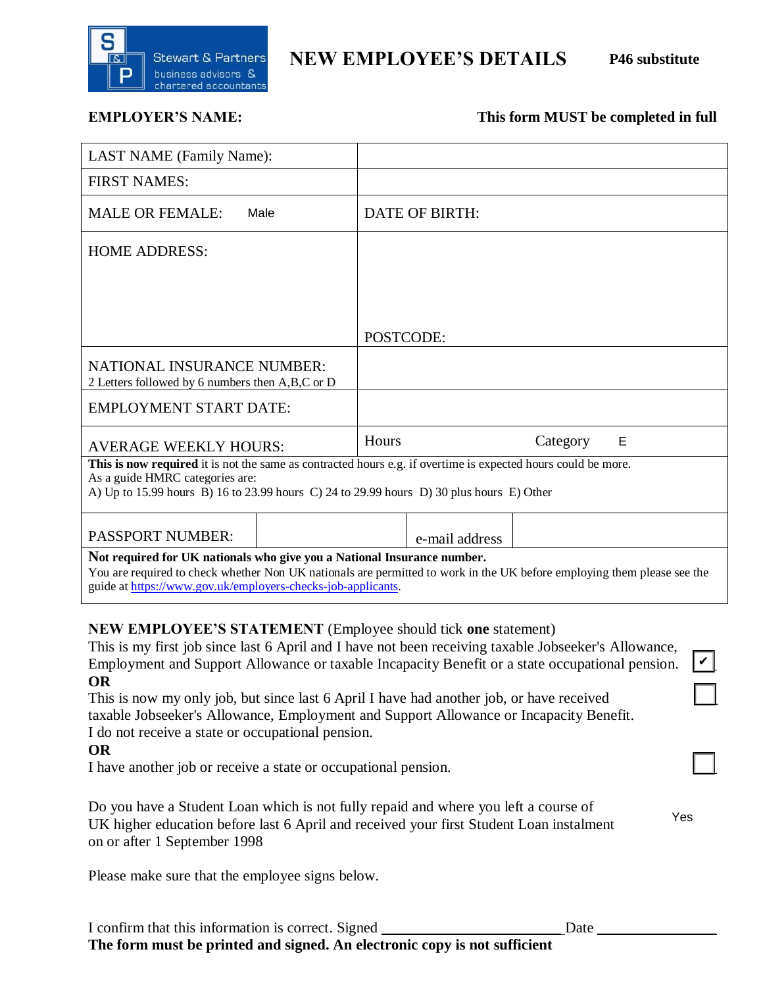

# **NEW EMPLOYEE'S DETAILS P46 substitute**

Yes

# **EMPLOYER'S NAME:** This form MUST be completed in full

| <b>LAST NAME</b> (Family Name):                                                                                         |                |                |  |  |
|-------------------------------------------------------------------------------------------------------------------------|----------------|----------------|--|--|
| <b>FIRST NAMES:</b>                                                                                                     |                |                |  |  |
| <b>MALE OR FEMALE:</b><br>Male                                                                                          | DATE OF BIRTH: |                |  |  |
| <b>HOME ADDRESS:</b>                                                                                                    |                |                |  |  |
|                                                                                                                         |                |                |  |  |
|                                                                                                                         |                |                |  |  |
|                                                                                                                         |                |                |  |  |
|                                                                                                                         | POSTCODE:      |                |  |  |
| <b>NATIONAL INSURANCE NUMBER:</b><br>2 Letters followed by 6 numbers then A,B,C or D                                    |                |                |  |  |
| <b>EMPLOYMENT START DATE:</b>                                                                                           |                |                |  |  |
| <b>AVERAGE WEEKLY HOURS:</b>                                                                                            | Hours          | Category<br>Е  |  |  |
| This is now required it is not the same as contracted hours e.g. if overtime is expected hours could be more.           |                |                |  |  |
| As a guide HMRC categories are:                                                                                         |                |                |  |  |
| A) Up to 15.99 hours B) 16 to 23.99 hours C) 24 to 29.99 hours D) 30 plus hours E) Other                                |                |                |  |  |
|                                                                                                                         |                |                |  |  |
| <b>PASSPORT NUMBER:</b>                                                                                                 |                | e-mail address |  |  |
| Not required for UK nationals who give you a National Insurance number.                                                 |                |                |  |  |
| You are required to check whether Non UK nationals are permitted to work in the UK before employing them please see the |                |                |  |  |
| guide at https://www.gov.uk/employers-checks-job-applicants.                                                            |                |                |  |  |

### **NEW EMPLOYEE'S STATEMENT** (Employee should tick **one** statement)

| This is my first job since last 6 April and I have not been receiving taxable Jobseeker's Allowance,<br>Employment and Support Allowance or taxable Incapacity Benefit or a state occupational pension. |  |
|---------------------------------------------------------------------------------------------------------------------------------------------------------------------------------------------------------|--|
| <b>OR</b>                                                                                                                                                                                               |  |

This is now my only job, but since last 6 April I have had another job, or have received taxable Jobseeker's Allowance, Employment and Support Allowance or Incapacity Benefit. I do not receive a state or occupational pension.

#### **OR**

I have another job or receive a state or occupational pension. \_\_\_

| Do you have a Student Loan which is not fully repaid and where you left a course of     |  |
|-----------------------------------------------------------------------------------------|--|
| UK higher education before last 6 April and received your first Student Loan instalment |  |
| on or after 1 September 1998                                                            |  |

Please make sure that the employee signs below.

| I confirm that this information is correct. Signed                        | Date |  |  |  |
|---------------------------------------------------------------------------|------|--|--|--|
| The form must be printed and signed. An electronic copy is not sufficient |      |  |  |  |